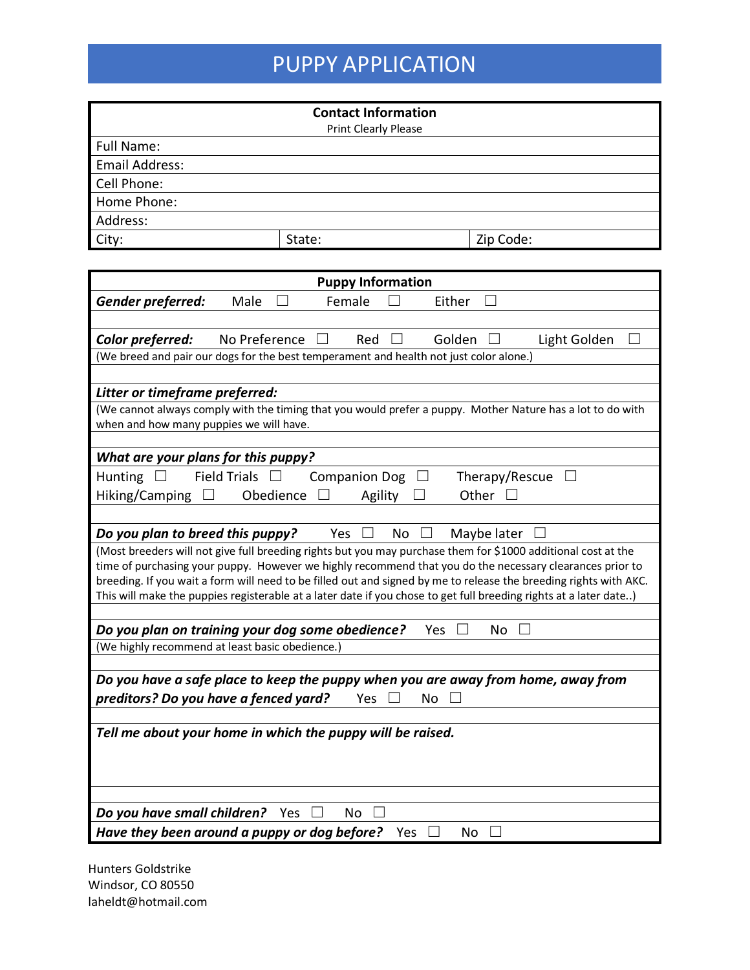## PUPPY APPLICATION

|                | <b>Contact Information</b> |           |
|----------------|----------------------------|-----------|
|                | Print Clearly Please       |           |
| Full Name:     |                            |           |
| Email Address: |                            |           |
| Cell Phone:    |                            |           |
| Home Phone:    |                            |           |
| Address:       |                            |           |
| City:          | State:                     | Zip Code: |

| <b>Puppy Information</b>                                                                                                                                                                                                                                                                                                                                                                                                                                            |  |  |
|---------------------------------------------------------------------------------------------------------------------------------------------------------------------------------------------------------------------------------------------------------------------------------------------------------------------------------------------------------------------------------------------------------------------------------------------------------------------|--|--|
| Gender preferred:<br>Female<br>Male<br>Either                                                                                                                                                                                                                                                                                                                                                                                                                       |  |  |
|                                                                                                                                                                                                                                                                                                                                                                                                                                                                     |  |  |
| Golden<br>No Preference<br>Red<br>Light Golden<br>Color preferred:                                                                                                                                                                                                                                                                                                                                                                                                  |  |  |
| (We breed and pair our dogs for the best temperament and health not just color alone.)                                                                                                                                                                                                                                                                                                                                                                              |  |  |
|                                                                                                                                                                                                                                                                                                                                                                                                                                                                     |  |  |
| Litter or timeframe preferred:                                                                                                                                                                                                                                                                                                                                                                                                                                      |  |  |
| (We cannot always comply with the timing that you would prefer a puppy. Mother Nature has a lot to do with                                                                                                                                                                                                                                                                                                                                                          |  |  |
| when and how many puppies we will have.                                                                                                                                                                                                                                                                                                                                                                                                                             |  |  |
|                                                                                                                                                                                                                                                                                                                                                                                                                                                                     |  |  |
| What are your plans for this puppy?                                                                                                                                                                                                                                                                                                                                                                                                                                 |  |  |
| <b>Field Trials</b><br><b>Companion Dog</b><br>Therapy/Rescue<br><b>Hunting</b><br>$\perp$<br>⊔                                                                                                                                                                                                                                                                                                                                                                     |  |  |
| Hiking/Camping $\square$<br>Obedience<br>Other<br>Agility                                                                                                                                                                                                                                                                                                                                                                                                           |  |  |
|                                                                                                                                                                                                                                                                                                                                                                                                                                                                     |  |  |
| Do you plan to breed this puppy?<br>Yes<br>No<br>Maybe later                                                                                                                                                                                                                                                                                                                                                                                                        |  |  |
| (Most breeders will not give full breeding rights but you may purchase them for \$1000 additional cost at the<br>time of purchasing your puppy. However we highly recommend that you do the necessary clearances prior to<br>breeding. If you wait a form will need to be filled out and signed by me to release the breeding rights with AKC.<br>This will make the puppies registerable at a later date if you chose to get full breeding rights at a later date) |  |  |
|                                                                                                                                                                                                                                                                                                                                                                                                                                                                     |  |  |
| Do you plan on training your dog some obedience?<br>No<br>Yes                                                                                                                                                                                                                                                                                                                                                                                                       |  |  |
| (We highly recommend at least basic obedience.)                                                                                                                                                                                                                                                                                                                                                                                                                     |  |  |
|                                                                                                                                                                                                                                                                                                                                                                                                                                                                     |  |  |
| Do you have a safe place to keep the puppy when you are away from home, away from                                                                                                                                                                                                                                                                                                                                                                                   |  |  |
| preditors? Do you have a fenced yard?<br>No.<br>Yes                                                                                                                                                                                                                                                                                                                                                                                                                 |  |  |
|                                                                                                                                                                                                                                                                                                                                                                                                                                                                     |  |  |
| Tell me about your home in which the puppy will be raised.                                                                                                                                                                                                                                                                                                                                                                                                          |  |  |
|                                                                                                                                                                                                                                                                                                                                                                                                                                                                     |  |  |
| Do you have small children? Yes<br><b>No</b>                                                                                                                                                                                                                                                                                                                                                                                                                        |  |  |
| Have they been around a puppy or dog before?<br>Yes<br>No                                                                                                                                                                                                                                                                                                                                                                                                           |  |  |

Hunters Goldstrike Windsor, CO 80550 laheldt@hotmail.com